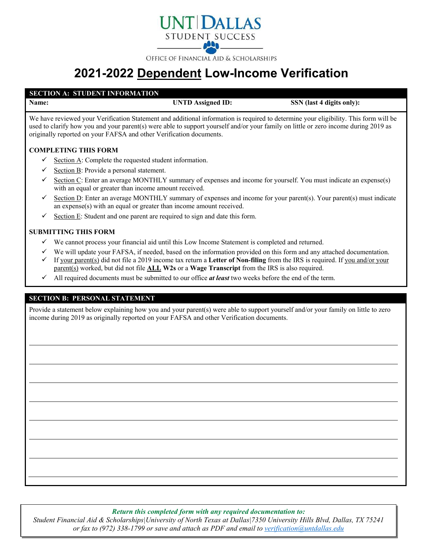

OFFICE OF FINANCIAL AID & SCHOLARSHIPS

# **2021-2022 Dependent Low-Income Verification**

## **SECTION A: STUDENT INFORMATION**

**Name: UNTD Assigned ID: SSN** (last 4 digits only):

We have reviewed your Verification Statement and additional information is required to determine your eligibility. This form will be used to clarify how you and your parent(s) were able to support yourself and/or your family on little or zero income during 2019 as originally reported on your FAFSA and other Verification documents.

# **COMPLETING THIS FORM**

- Section A: Complete the requested student information.
- Section B: Provide a personal statement.
- Section C: Enter an average MONTHLY summary of expenses and income for yourself. You must indicate an expense(s) with an equal or greater than income amount received.
- $\checkmark$  Section D: Enter an average MONTHLY summary of expenses and income for your parent(s). Your parent(s) must indicate an expense(s) with an equal or greater than income amount received.
- Section E: Student and one parent are required to sign and date this form.

#### **SUBMITTING THIS FORM**

- $\checkmark$  We cannot process your financial aid until this Low Income Statement is completed and returned.
- $\checkmark$  We will update your FAFSA, if needed, based on the information provided on this form and any attached documentation.
- If your parent(s) did not file a 2019 income tax return a **Letter of Non-filing** from the IRS is required. If you and/or your parent(s) worked, but did not file **ALL W2s** or a **Wage Transcript** from the IRS is also required.
- $\checkmark$  All required documents must be submitted to our office *at least* two weeks before the end of the term.

#### **SECTION B: PERSONAL STATEMENT**

Provide a statement below explaining how you and your parent(s) were able to support yourself and/or your family on little to zero income during 2019 as originally reported on your FAFSA and other Verification documents.

*Return this completed form with any required documentation to:*

*Student Financial Aid & Scholarships|University of North Texas at Dallas|7350 University Hills Blvd, Dallas, TX 75241 or fax to (972) 338-1799 or save and attach as PDF and email to [verification@untdallas.edu](mailto:verification@untdallas.edu)*